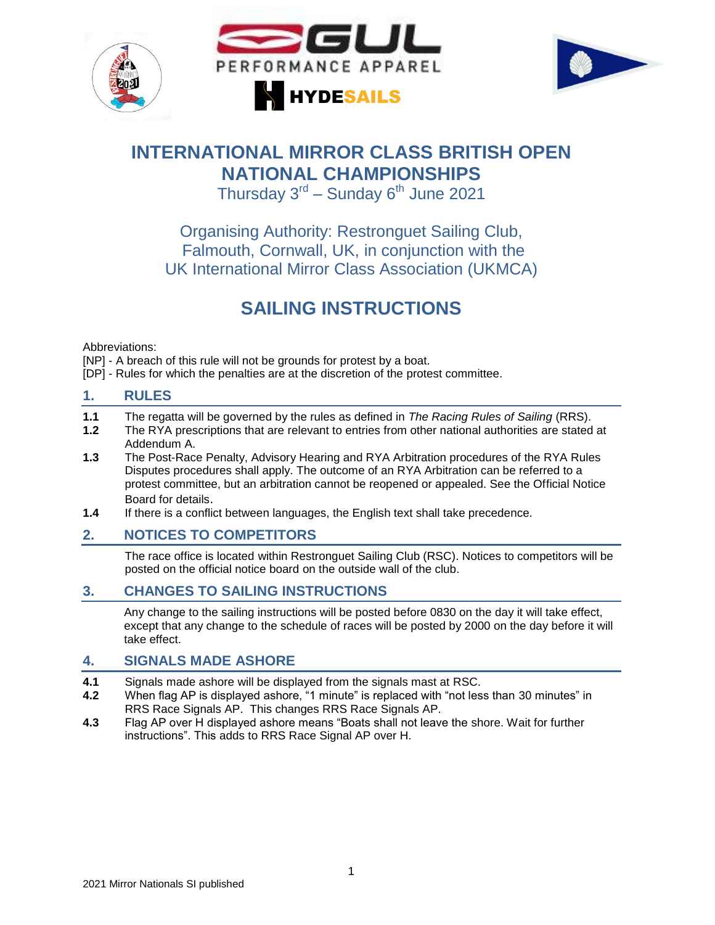





# **INTERNATIONAL MIRROR CLASS BRITISH OPEN NATIONAL CHAMPIONSHIPS**

Thursday  $3^{\text{rd}}$  – Sunday 6<sup>th</sup> June 2021

Organising Authority: Restronguet Sailing Club, Falmouth, Cornwall, UK, in conjunction with the UK International Mirror Class Association (UKMCA)

# **SAILING INSTRUCTIONS**

Abbreviations:

[NP] - A breach of this rule will not be grounds for protest by a boat.

[DP] - Rules for which the penalties are at the discretion of the protest committee.

### **1. RULES**

- **1.1** The regatta will be governed by the rules as defined in *The Racing Rules of Sailing* (RRS).
- **1.2** The RYA prescriptions that are relevant to entries from other national authorities are stated at Addendum A.
- **1.3** The Post-Race Penalty, Advisory Hearing and RYA Arbitration procedures of the RYA Rules Disputes procedures shall apply. The outcome of an RYA Arbitration can be referred to a protest committee, but an arbitration cannot be reopened or appealed. See the Official Notice Board for details.
- **1.4** If there is a conflict between languages, the English text shall take precedence.

## **2. NOTICES TO COMPETITORS**

The race office is located within Restronguet Sailing Club (RSC). Notices to competitors will be posted on the official notice board on the outside wall of the club.

## **3. CHANGES TO SAILING INSTRUCTIONS**

Any change to the sailing instructions will be posted before 0830 on the day it will take effect, except that any change to the schedule of races will be posted by 2000 on the day before it will take effect.

#### **4. SIGNALS MADE ASHORE**

- **4.1** Signals made ashore will be displayed from the signals mast at RSC.
- **4.2** When flag AP is displayed ashore, "1 minute" is replaced with "not less than 30 minutes" in RRS Race Signals AP. This changes RRS Race Signals AP.
- **4.3** Flag AP over H displayed ashore means "Boats shall not leave the shore. Wait for further instructions". This adds to RRS Race Signal AP over H.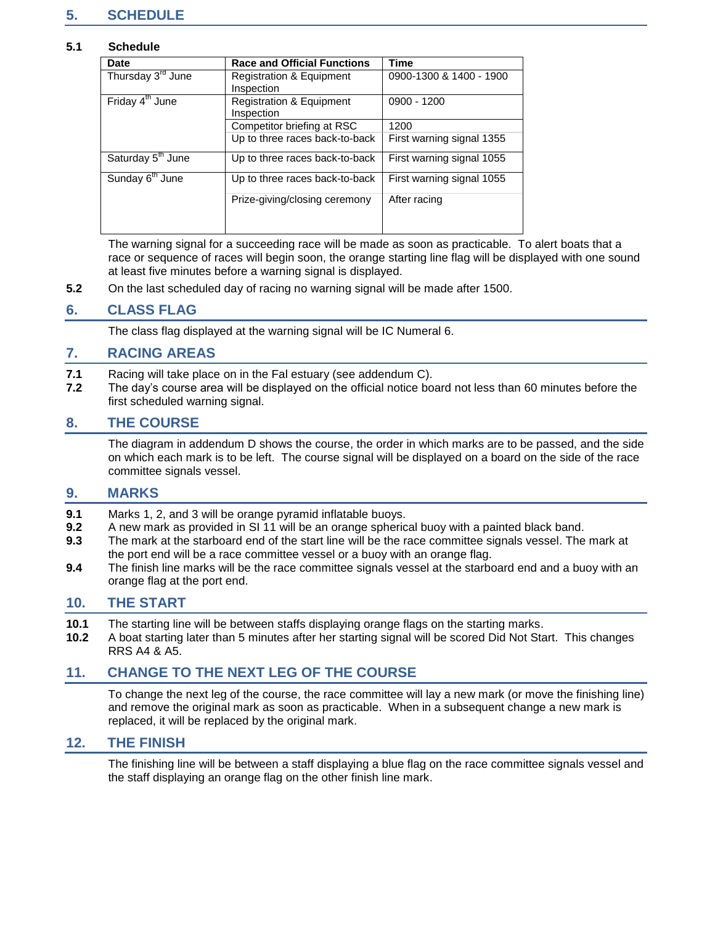## **5. SCHEDULE**

#### **5.1 Schedule**

| <b>Date</b>                   | <b>Race and Official Functions</b>  | <b>Time</b>               |
|-------------------------------|-------------------------------------|---------------------------|
| Thursday 3 <sup>rd</sup> June | <b>Registration &amp; Equipment</b> | 0900-1300 & 1400 - 1900   |
|                               | Inspection                          |                           |
| Friday 4 <sup>th</sup> June   | <b>Registration &amp; Equipment</b> | 0900 - 1200               |
|                               | Inspection                          |                           |
|                               | Competitor briefing at RSC          | 1200                      |
|                               | Up to three races back-to-back      | First warning signal 1355 |
| Saturday 5 <sup>th</sup> June | Up to three races back-to-back      | First warning signal 1055 |
| Sunday 6 <sup>th</sup> June   | Up to three races back-to-back      | First warning signal 1055 |
|                               | Prize-giving/closing ceremony       | After racing              |
|                               |                                     |                           |

The warning signal for a succeeding race will be made as soon as practicable. To alert boats that a race or sequence of races will begin soon, the orange starting line flag will be displayed with one sound at least five minutes before a warning signal is displayed.

**5.2** On the last scheduled day of racing no warning signal will be made after 1500.

#### **6. CLASS FLAG**

The class flag displayed at the warning signal will be IC Numeral 6.

#### **7. RACING AREAS**

- **7.1** Racing will take place on in the Fal estuary (see addendum C).
- **7.2** The day's course area will be displayed on the official notice board not less than 60 minutes before the first scheduled warning signal.

#### **8. THE COURSE**

The diagram in addendum D shows the course, the order in which marks are to be passed, and the side on which each mark is to be left. The course signal will be displayed on a board on the side of the race committee signals vessel.

#### **9. MARKS**

- **9.1** Marks 1, 2, and 3 will be orange pyramid inflatable buoys.
- **9.2** A new mark as provided in SI 11 will be an orange spherical buoy with a painted black band.
- **9.3** The mark at the starboard end of the start line will be the race committee signals vessel. The mark at the port end will be a race committee vessel or a buoy with an orange flag.
- **9.4** The finish line marks will be the race committee signals vessel at the starboard end and a buoy with an orange flag at the port end.

#### **10. THE START**

- **10.1** The starting line will be between staffs displaying orange flags on the starting marks.<br>**10.2** A boat starting later than 5 minutes after her starting signal will be scored Did Not Sta
- **10.2** A boat starting later than 5 minutes after her starting signal will be scored Did Not Start. This changes RRS A4 & A5.

#### **11. CHANGE TO THE NEXT LEG OF THE COURSE**

To change the next leg of the course, the race committee will lay a new mark (or move the finishing line) and remove the original mark as soon as practicable. When in a subsequent change a new mark is replaced, it will be replaced by the original mark.

#### **12. THE FINISH**

The finishing line will be between a staff displaying a blue flag on the race committee signals vessel and the staff displaying an orange flag on the other finish line mark.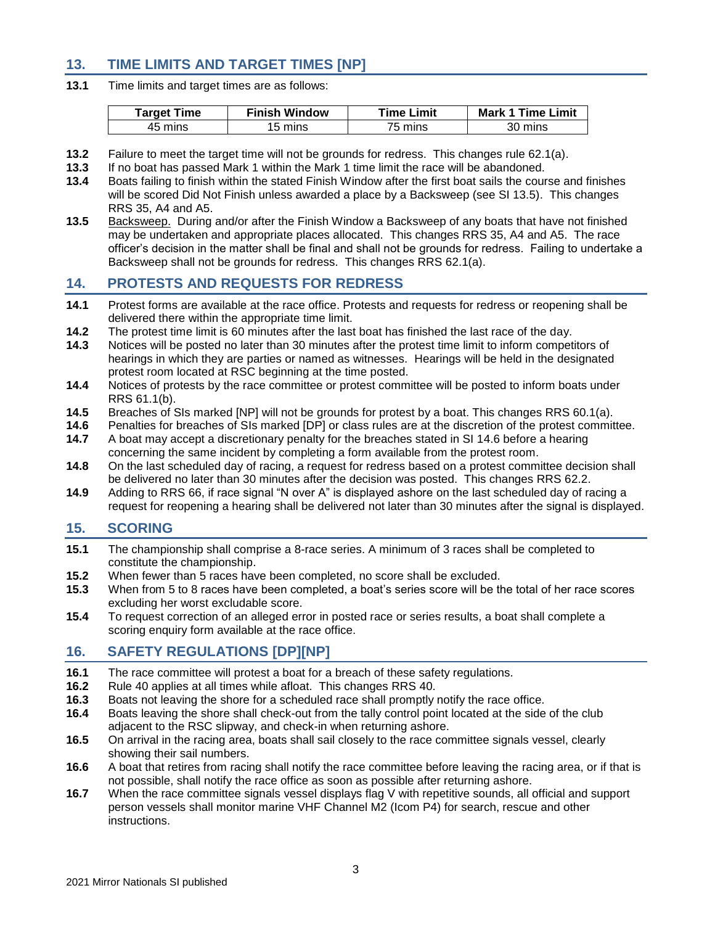## **13. TIME LIMITS AND TARGET TIMES [NP]**

**13.1** Time limits and target times are as follows:

| Tarqet Time | <b>Finish Window</b> | <b>Time Limit</b> | <b>Mark 1 Time Limit</b> |
|-------------|----------------------|-------------------|--------------------------|
| 45 mins     | 15 mins              | 75 mins           | 30 mins                  |

- **13.2** Failure to meet the target time will not be grounds for redress. This changes rule 62.1(a).
- **13.3** If no boat has passed Mark 1 within the Mark 1 time limit the race will be abandoned.
- **13.4** Boats failing to finish within the stated Finish Window after the first boat sails the course and finishes will be scored Did Not Finish unless awarded a place by a Backsweep (see SI 13.5). This changes RRS 35, A4 and A5.
- **13.5** Backsweep. During and/or after the Finish Window a Backsweep of any boats that have not finished may be undertaken and appropriate places allocated. This changes RRS 35, A4 and A5. The race officer's decision in the matter shall be final and shall not be grounds for redress. Failing to undertake a Backsweep shall not be grounds for redress. This changes RRS 62.1(a).

## **14. PROTESTS AND REQUESTS FOR REDRESS**

- **14.1** Protest forms are available at the race office. Protests and requests for redress or reopening shall be delivered there within the appropriate time limit.
- **14.2** The protest time limit is 60 minutes after the last boat has finished the last race of the day.
- **14.3** Notices will be posted no later than 30 minutes after the protest time limit to inform competitors of hearings in which they are parties or named as witnesses. Hearings will be held in the designated protest room located at RSC beginning at the time posted.
- **14.4** Notices of protests by the race committee or protest committee will be posted to inform boats under RRS 61.1(b).
- **14.5** Breaches of SIs marked [NP] will not be grounds for protest by a boat. This changes RRS 60.1(a).
- **14.6** Penalties for breaches of SIs marked [DP] or class rules are at the discretion of the protest committee.
- **14.7** A boat may accept a discretionary penalty for the breaches stated in SI 14.6 before a hearing concerning the same incident by completing a form available from the protest room.
- **14.8** On the last scheduled day of racing, a request for redress based on a protest committee decision shall be delivered no later than 30 minutes after the decision was posted. This changes RRS 62.2.
- **14.9** Adding to RRS 66, if race signal "N over A" is displayed ashore on the last scheduled day of racing a request for reopening a hearing shall be delivered not later than 30 minutes after the signal is displayed.

#### **15. SCORING**

- **15.1** The championship shall comprise a 8-race series. A minimum of 3 races shall be completed to constitute the championship.
- **15.2** When fewer than 5 races have been completed, no score shall be excluded.
- **15.3** When from 5 to 8 races have been completed, a boat's series score will be the total of her race scores excluding her worst excludable score.
- **15.4** To request correction of an alleged error in posted race or series results, a boat shall complete a scoring enquiry form available at the race office.

#### **16. SAFETY REGULATIONS [DP][NP]**

- **16.1** The race committee will protest a boat for a breach of these safety regulations.
- **16.2** Rule 40 applies at all times while afloat. This changes RRS 40.
- **16.3** Boats not leaving the shore for a scheduled race shall promptly notify the race office.
- **16.4** Boats leaving the shore shall check-out from the tally control point located at the side of the club adjacent to the RSC slipway, and check-in when returning ashore.
- **16.5** On arrival in the racing area, boats shall sail closely to the race committee signals vessel, clearly showing their sail numbers.
- **16.6** A boat that retires from racing shall notify the race committee before leaving the racing area, or if that is not possible, shall notify the race office as soon as possible after returning ashore.
- **16.7** When the race committee signals vessel displays flag V with repetitive sounds, all official and support person vessels shall monitor marine VHF Channel M2 (Icom P4) for search, rescue and other instructions.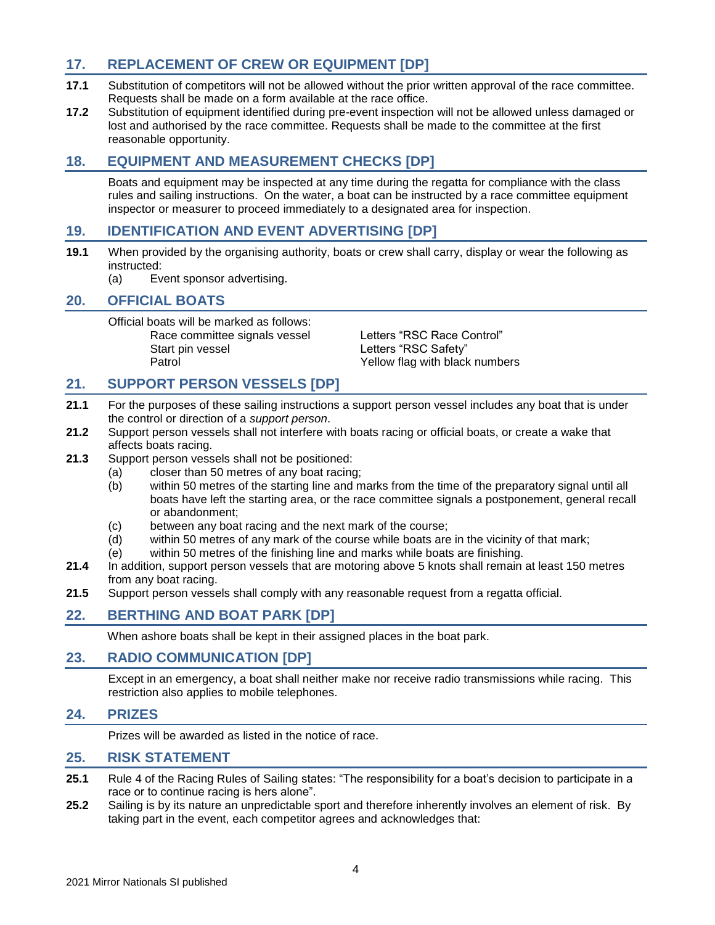## **17. REPLACEMENT OF CREW OR EQUIPMENT [DP]**

- **17.1** Substitution of competitors will not be allowed without the prior written approval of the race committee. Requests shall be made on a form available at the race office.
- **17.2** Substitution of equipment identified during pre-event inspection will not be allowed unless damaged or lost and authorised by the race committee. Requests shall be made to the committee at the first reasonable opportunity.

## **18. EQUIPMENT AND MEASUREMENT CHECKS [DP]**

Boats and equipment may be inspected at any time during the regatta for compliance with the class rules and sailing instructions. On the water, a boat can be instructed by a race committee equipment inspector or measurer to proceed immediately to a designated area for inspection.

## **19. IDENTIFICATION AND EVENT ADVERTISING [DP]**

- **19.1** When provided by the organising authority, boats or crew shall carry, display or wear the following as instructed:
	- (a) Event sponsor advertising.

#### **20. OFFICIAL BOATS**

Official boats will be marked as follows: Race committee signals vessel Letters "RSC Race Control" Start pin vessel **Start pin vessel** Letters "RSC Safety" Patrol Patrol **Patrol** Patrol Patrol Patrol Patrol Patrol Patrol Patrol Patrol Patrol Patrol Patrol Patrol Patrol Patrol Patrol Patrol Patrol Patrol Patrol Patrol Patrol Patrol Patrol Patrol Patrol Patrol Patrol Patrol Pat

#### **21. SUPPORT PERSON VESSELS [DP]**

- **21.1** For the purposes of these sailing instructions a support person vessel includes any boat that is under the control or direction of a *support person*.
- **21.2** Support person vessels shall not interfere with boats racing or official boats, or create a wake that affects boats racing.
- **21.3** Support person vessels shall not be positioned:
	- (a) closer than 50 metres of any boat racing;
	- (b) within 50 metres of the starting line and marks from the time of the preparatory signal until all boats have left the starting area, or the race committee signals a postponement, general recall or abandonment;
	- (c) between any boat racing and the next mark of the course;
	- (d) within 50 metres of any mark of the course while boats are in the vicinity of that mark;
	- (e) within 50 metres of the finishing line and marks while boats are finishing.
- **21.4** In addition, support person vessels that are motoring above 5 knots shall remain at least 150 metres from any boat racing.
- **21.5** Support person vessels shall comply with any reasonable request from a regatta official.

#### **22. BERTHING AND BOAT PARK [DP]**

When ashore boats shall be kept in their assigned places in the boat park.

#### **23. RADIO COMMUNICATION [DP]**

Except in an emergency, a boat shall neither make nor receive radio transmissions while racing. This restriction also applies to mobile telephones.

#### **24. PRIZES**

Prizes will be awarded as listed in the notice of race.

#### **25. RISK STATEMENT**

- **25.1** Rule 4 of the Racing Rules of Sailing states: "The responsibility for a boat's decision to participate in a race or to continue racing is hers alone".
- **25.2** Sailing is by its nature an unpredictable sport and therefore inherently involves an element of risk. By taking part in the event, each competitor agrees and acknowledges that: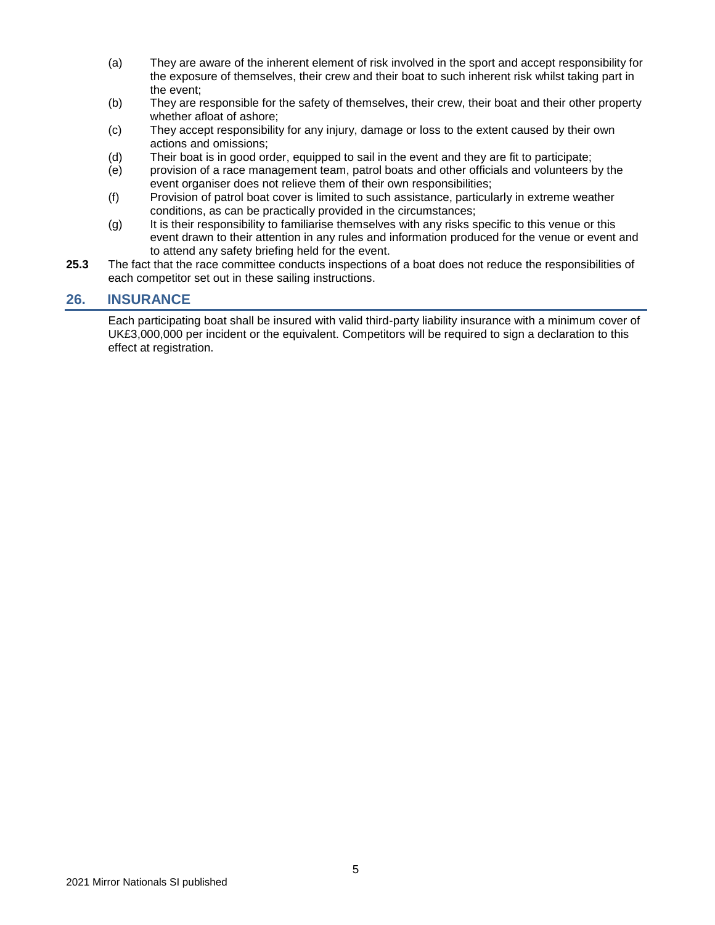- (a) They are aware of the inherent element of risk involved in the sport and accept responsibility for the exposure of themselves, their crew and their boat to such inherent risk whilst taking part in the event;
- (b) They are responsible for the safety of themselves, their crew, their boat and their other property whether afloat of ashore;
- (c) They accept responsibility for any injury, damage or loss to the extent caused by their own actions and omissions;
- (d) Their boat is in good order, equipped to sail in the event and they are fit to participate;
- (e) provision of a race management team, patrol boats and other officials and volunteers by the event organiser does not relieve them of their own responsibilities;
- (f) Provision of patrol boat cover is limited to such assistance, particularly in extreme weather conditions, as can be practically provided in the circumstances;
- (g) It is their responsibility to familiarise themselves with any risks specific to this venue or this event drawn to their attention in any rules and information produced for the venue or event and to attend any safety briefing held for the event.
- **25.3** The fact that the race committee conducts inspections of a boat does not reduce the responsibilities of each competitor set out in these sailing instructions.

#### **26. INSURANCE**

Each participating boat shall be insured with valid third-party liability insurance with a minimum cover of UK£3,000,000 per incident or the equivalent. Competitors will be required to sign a declaration to this effect at registration.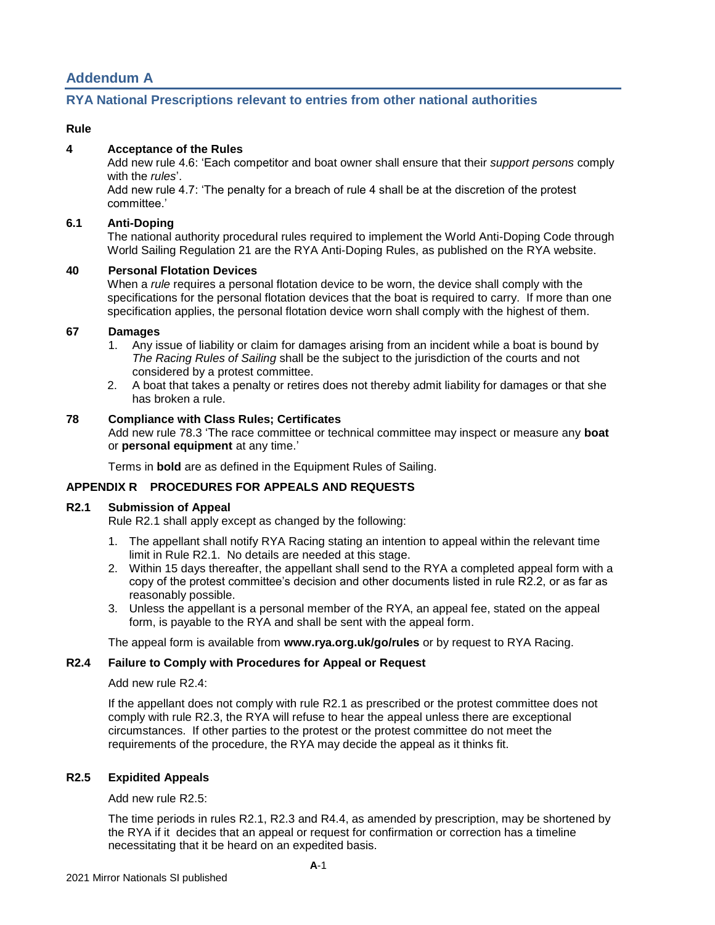## **Addendum A**

#### **RYA National Prescriptions relevant to entries from other national authorities**

#### **Rule**

#### **4 Acceptance of the Rules**

Add new rule 4.6: 'Each competitor and boat owner shall ensure that their *support persons* comply with the *rules*'.

Add new rule 4.7: 'The penalty for a breach of rule 4 shall be at the discretion of the protest committee.'

#### **6.1 Anti-Doping**

The national authority procedural rules required to implement the World Anti-Doping Code through World Sailing Regulation 21 are the RYA Anti-Doping Rules, as published on the RYA website.

#### **40 Personal Flotation Devices**

When a *rule* requires a personal flotation device to be worn, the device shall comply with the specifications for the personal flotation devices that the boat is required to carry. If more than one specification applies, the personal flotation device worn shall comply with the highest of them.

#### **67 Damages**

- 1. Any issue of liability or claim for damages arising from an incident while a boat is bound by *The Racing Rules of Sailing* shall be the subject to the jurisdiction of the courts and not considered by a protest committee.
- 2. A boat that takes a penalty or retires does not thereby admit liability for damages or that she has broken a rule.

#### **78 Compliance with Class Rules; Certificates**

Add new rule 78.3 'The race committee or technical committee may inspect or measure any **boat** or **personal equipment** at any time.'

Terms in **bold** are as defined in the Equipment Rules of Sailing.

#### **APPENDIX R PROCEDURES FOR APPEALS AND REQUESTS**

#### **R2.1 Submission of Appeal**

Rule R2.1 shall apply except as changed by the following:

- 1. The appellant shall notify RYA Racing stating an intention to appeal within the relevant time limit in Rule R2.1. No details are needed at this stage.
- 2. Within 15 days thereafter, the appellant shall send to the RYA a completed appeal form with a copy of the protest committee's decision and other documents listed in rule R2.2, or as far as reasonably possible.
- 3. Unless the appellant is a personal member of the RYA, an appeal fee, stated on the appeal form, is payable to the RYA and shall be sent with the appeal form.

The appeal form is available from **www.rya.org.uk/go/rules** or by request to RYA Racing.

#### **R2.4 Failure to Comply with Procedures for Appeal or Request**

#### Add new rule R2.4:

If the appellant does not comply with rule R2.1 as prescribed or the protest committee does not comply with rule R2.3, the RYA will refuse to hear the appeal unless there are exceptional circumstances. If other parties to the protest or the protest committee do not meet the requirements of the procedure, the RYA may decide the appeal as it thinks fit.

#### **R2.5 Expidited Appeals**

Add new rule R2.5:

The time periods in rules R2.1, R2.3 and R4.4, as amended by prescription, may be shortened by the RYA if it decides that an appeal or request for confirmation or correction has a timeline necessitating that it be heard on an expedited basis.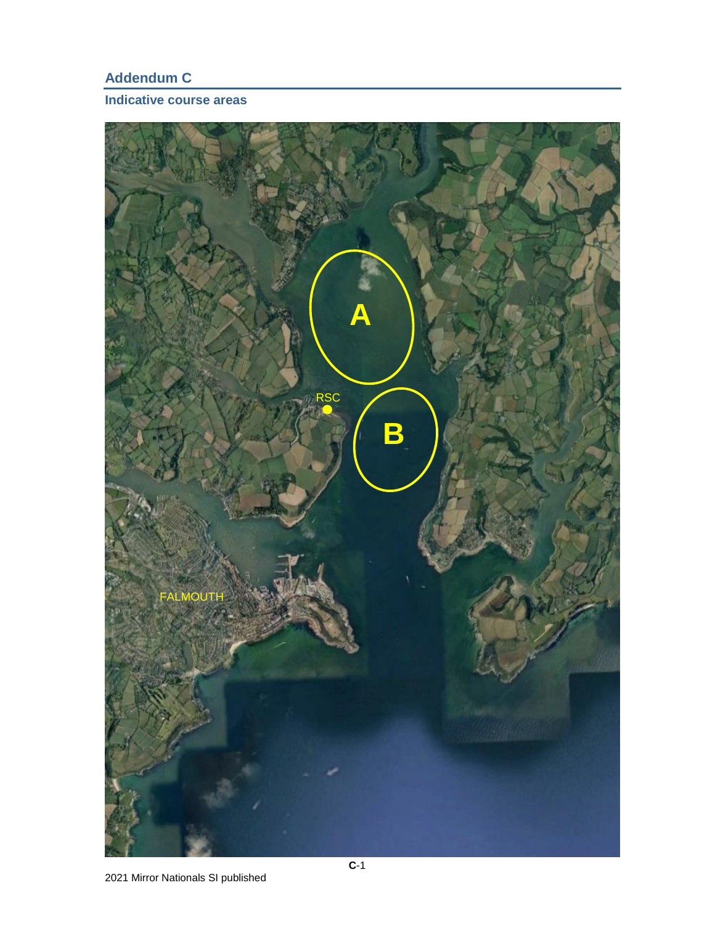# **Addendum C**

## **Indicative course areas**